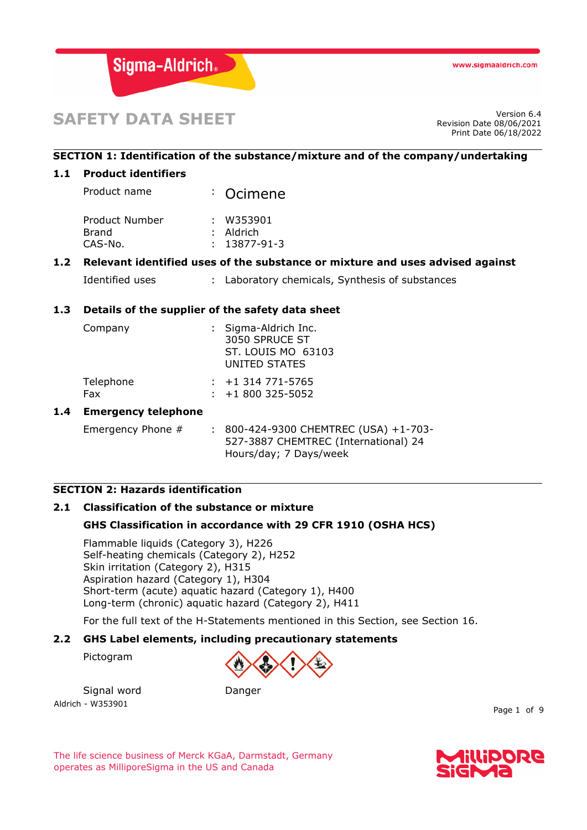

# **SAFETY DATA SHEET**

Revision Date 08/06/2021 Print Date 06/18/2022

## **SECTION 1: Identification of the substance/mixture and of the company/undertaking**

### **1.1 Product identifiers**

Product name : Ocimene

| : W353901          |
|--------------------|
| $:$ Aldrich        |
| $: 13877 - 91 - 3$ |
|                    |

## **1.2 Relevant identified uses of the substance or mixture and uses advised against**

Identified uses : Laboratory chemicals, Synthesis of substances

## **1.3 Details of the supplier of the safety data sheet**

| Company          | : Sigma-Aldrich Inc.<br>3050 SPRUCE ST<br>ST. LOUIS MO 63103<br>UNITED STATES |
|------------------|-------------------------------------------------------------------------------|
| Telephone<br>Fax | $: +1314771 - 5765$<br>$: +1800325 - 5052$                                    |

#### **1.4 Emergency telephone**

Emergency Phone # : 800-424-9300 CHEMTREC (USA) +1-703-527-3887 CHEMTREC (International) 24 Hours/day; 7 Days/week

## **SECTION 2: Hazards identification**

# **2.1 Classification of the substance or mixture**

## **GHS Classification in accordance with 29 CFR 1910 (OSHA HCS)**

Flammable liquids (Category 3), H226 Self-heating chemicals (Category 2), H252 Skin irritation (Category 2), H315 Aspiration hazard (Category 1), H304 Short-term (acute) aquatic hazard (Category 1), H400 Long-term (chronic) aquatic hazard (Category 2), H411

For the full text of the H-Statements mentioned in this Section, see Section 16.

#### **2.2 GHS Label elements, including precautionary statements**

Pictogram



Aldrich - W353901 Signal word Danger



The life science business of Merck KGaA, Darmstadt, Germany operates as MilliporeSigma in the US and Canada



Page 1 of 9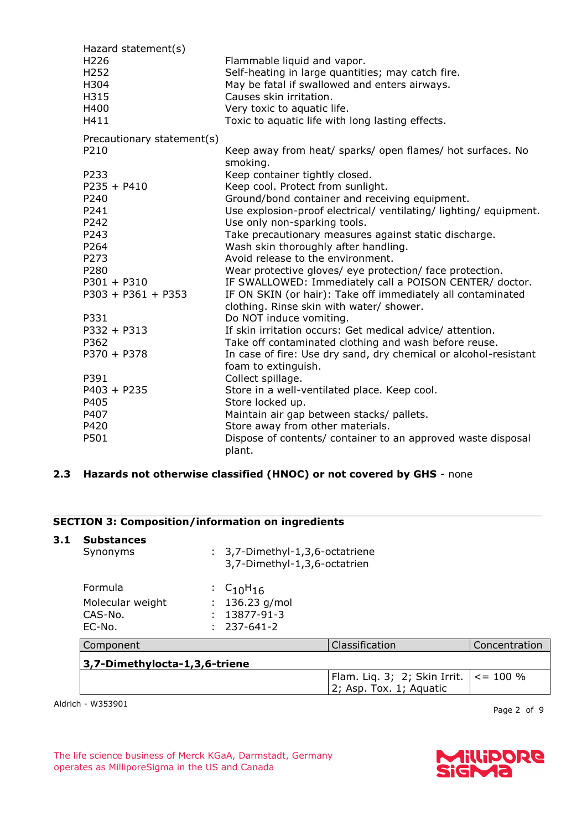| Hazard statement(s)<br>H <sub>226</sub><br>H <sub>252</sub><br>H304<br>H315<br>H400<br>H411 | Flammable liquid and vapor.<br>Self-heating in large quantities; may catch fire.<br>May be fatal if swallowed and enters airways.<br>Causes skin irritation.<br>Very toxic to aquatic life.<br>Toxic to aquatic life with long lasting effects. |
|---------------------------------------------------------------------------------------------|-------------------------------------------------------------------------------------------------------------------------------------------------------------------------------------------------------------------------------------------------|
| Precautionary statement(s)                                                                  |                                                                                                                                                                                                                                                 |
| P210                                                                                        | Keep away from heat/ sparks/ open flames/ hot surfaces. No<br>smoking.                                                                                                                                                                          |
| P233                                                                                        | Keep container tightly closed.                                                                                                                                                                                                                  |
| $P235 + P410$                                                                               | Keep cool. Protect from sunlight.                                                                                                                                                                                                               |
| P240                                                                                        | Ground/bond container and receiving equipment.                                                                                                                                                                                                  |
| P241                                                                                        | Use explosion-proof electrical/ventilating/lighting/equipment.                                                                                                                                                                                  |
| P242                                                                                        | Use only non-sparking tools.                                                                                                                                                                                                                    |
| P243                                                                                        | Take precautionary measures against static discharge.                                                                                                                                                                                           |
| P264<br>P273                                                                                | Wash skin thoroughly after handling.<br>Avoid release to the environment.                                                                                                                                                                       |
| P280                                                                                        | Wear protective gloves/ eye protection/ face protection.                                                                                                                                                                                        |
| $P301 + P310$                                                                               | IF SWALLOWED: Immediately call a POISON CENTER/ doctor.                                                                                                                                                                                         |
| $P303 + P361 + P353$                                                                        | IF ON SKIN (or hair): Take off immediately all contaminated                                                                                                                                                                                     |
| P331                                                                                        | clothing. Rinse skin with water/ shower.<br>Do NOT induce vomiting.                                                                                                                                                                             |
| $P332 + P313$                                                                               | If skin irritation occurs: Get medical advice/ attention.                                                                                                                                                                                       |
| P362                                                                                        | Take off contaminated clothing and wash before reuse.                                                                                                                                                                                           |
| $P370 + P378$                                                                               | In case of fire: Use dry sand, dry chemical or alcohol-resistant                                                                                                                                                                                |
|                                                                                             | foam to extinguish.                                                                                                                                                                                                                             |
| P391                                                                                        | Collect spillage.                                                                                                                                                                                                                               |
| $P403 + P235$                                                                               | Store in a well-ventilated place. Keep cool.                                                                                                                                                                                                    |
| P405                                                                                        | Store locked up.                                                                                                                                                                                                                                |
| P407                                                                                        | Maintain air gap between stacks/ pallets.                                                                                                                                                                                                       |
| P420                                                                                        | Store away from other materials.                                                                                                                                                                                                                |
| P501                                                                                        | Dispose of contents/ container to an approved waste disposal                                                                                                                                                                                    |
|                                                                                             | plant.                                                                                                                                                                                                                                          |

# **2.3 Hazards not otherwise classified (HNOC) or not covered by GHS** - none

# **SECTION 3: Composition/information on ingredients**

| 3.1 | <b>Substances</b><br>Synonyms                           |  | : 3,7-Dimethyl-1,3,6-octatriene<br>3,7-Dimethyl-1,3,6-octatrien |                                                         |               |
|-----|---------------------------------------------------------|--|-----------------------------------------------------------------|---------------------------------------------------------|---------------|
|     | <b>Formula</b><br>Molecular weight<br>CAS-No.<br>EC-No. |  | : $C_{10}H_{16}$<br>136.23 g/mol<br>13877-91-3<br>237-641-2     |                                                         |               |
|     | Component                                               |  |                                                                 | Classification                                          | Concentration |
|     | 3,7-Dimethylocta-1,3,6-triene                           |  |                                                                 |                                                         |               |
|     |                                                         |  |                                                                 | Flam. Liq. 3; 2; Skin Irrit.<br>2; Asp. Tox. 1; Aquatic | $\le$ = 100 % |

Aldrich - W353901

Page 2 of 9

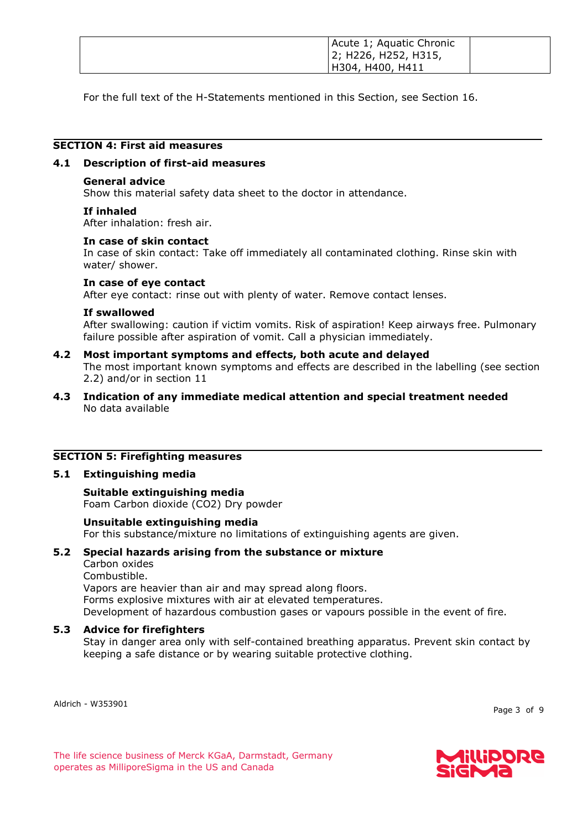| Acute 1; Aquatic Chronic<br>  2; H226, H252, H315, |  |
|----------------------------------------------------|--|
| H304, H400, H411                                   |  |

For the full text of the H-Statements mentioned in this Section, see Section 16.

# **SECTION 4: First aid measures**

#### **4.1 Description of first-aid measures**

#### **General advice**

Show this material safety data sheet to the doctor in attendance.

#### **If inhaled**

After inhalation: fresh air.

#### **In case of skin contact**

In case of skin contact: Take off immediately all contaminated clothing. Rinse skin with water/ shower.

#### **In case of eye contact**

After eye contact: rinse out with plenty of water. Remove contact lenses.

#### **If swallowed**

After swallowing: caution if victim vomits. Risk of aspiration! Keep airways free. Pulmonary failure possible after aspiration of vomit. Call a physician immediately.

# **4.2 Most important symptoms and effects, both acute and delayed**

The most important known symptoms and effects are described in the labelling (see section 2.2) and/or in section 11

## **4.3 Indication of any immediate medical attention and special treatment needed** No data available

## **SECTION 5: Firefighting measures**

#### **5.1 Extinguishing media**

## **Suitable extinguishing media** Foam Carbon dioxide (CO2) Dry powder

## **Unsuitable extinguishing media**

For this substance/mixture no limitations of extinguishing agents are given.

#### **5.2 Special hazards arising from the substance or mixture**

Carbon oxides

Combustible.

Vapors are heavier than air and may spread along floors.

Forms explosive mixtures with air at elevated temperatures.

Development of hazardous combustion gases or vapours possible in the event of fire.

## **5.3 Advice for firefighters**

Stay in danger area only with self-contained breathing apparatus. Prevent skin contact by keeping a safe distance or by wearing suitable protective clothing.

Aldrich - W353901

Page 3 of 9

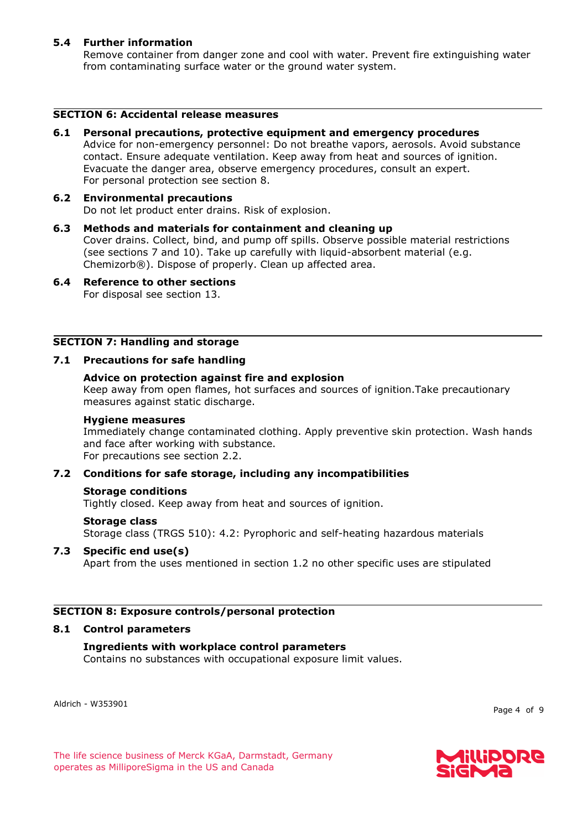## **5.4 Further information**

Remove container from danger zone and cool with water. Prevent fire extinguishing water from contaminating surface water or the ground water system.

### **SECTION 6: Accidental release measures**

**6.1 Personal precautions, protective equipment and emergency procedures** Advice for non-emergency personnel: Do not breathe vapors, aerosols. Avoid substance contact. Ensure adequate ventilation. Keep away from heat and sources of ignition. Evacuate the danger area, observe emergency procedures, consult an expert. For personal protection see section 8.

#### **6.2 Environmental precautions** Do not let product enter drains. Risk of explosion.

- **6.3 Methods and materials for containment and cleaning up** Cover drains. Collect, bind, and pump off spills. Observe possible material restrictions (see sections 7 and 10). Take up carefully with liquid-absorbent material (e.g. Chemizorb®). Dispose of properly. Clean up affected area.
- **6.4 Reference to other sections** For disposal see section 13.

## **SECTION 7: Handling and storage**

## **7.1 Precautions for safe handling**

## **Advice on protection against fire and explosion**

Keep away from open flames, hot surfaces and sources of ignition.Take precautionary measures against static discharge.

#### **Hygiene measures**

Immediately change contaminated clothing. Apply preventive skin protection. Wash hands and face after working with substance. For precautions see section 2.2.

## **7.2 Conditions for safe storage, including any incompatibilities**

## **Storage conditions**

Tightly closed. Keep away from heat and sources of ignition.

#### **Storage class**

Storage class (TRGS 510): 4.2: Pyrophoric and self-heating hazardous materials

## **7.3 Specific end use(s)**

Apart from the uses mentioned in section 1.2 no other specific uses are stipulated

## **SECTION 8: Exposure controls/personal protection**

#### **8.1 Control parameters**

## **Ingredients with workplace control parameters**

Contains no substances with occupational exposure limit values.

Aldrich - W353901

Page 4 of 9

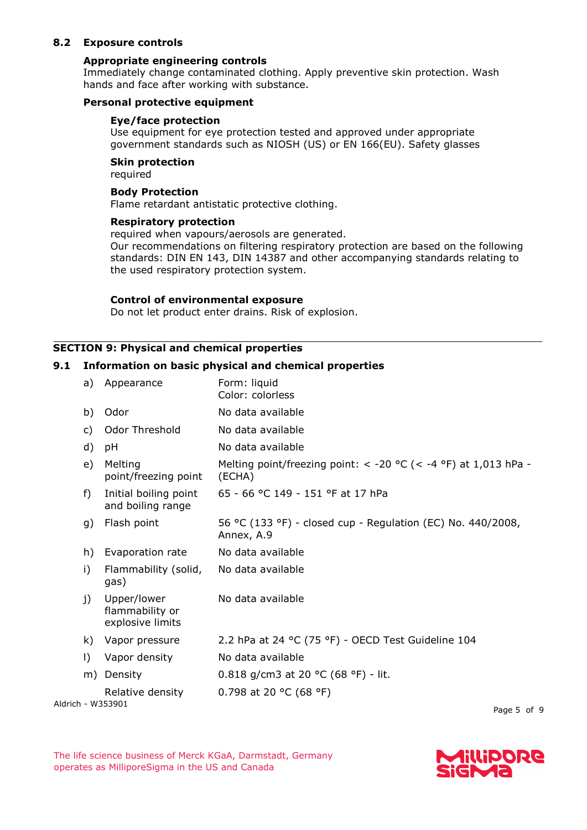## **8.2 Exposure controls**

#### **Appropriate engineering controls**

Immediately change contaminated clothing. Apply preventive skin protection. Wash hands and face after working with substance.

#### **Personal protective equipment**

#### **Eye/face protection**

Use equipment for eye protection tested and approved under appropriate government standards such as NIOSH (US) or EN 166(EU). Safety glasses

#### **Skin protection**

required

## **Body Protection**

Flame retardant antistatic protective clothing.

#### **Respiratory protection**

required when vapours/aerosols are generated.

Our recommendations on filtering respiratory protection are based on the following standards: DIN EN 143, DIN 14387 and other accompanying standards relating to the used respiratory protection system.

#### **Control of environmental exposure**

Do not let product enter drains. Risk of explosion.

#### **SECTION 9: Physical and chemical properties**

#### **9.1 Information on basic physical and chemical properties**

| a)        | Appearance                                         | Form: liquid<br>Color: colorless                                          |
|-----------|----------------------------------------------------|---------------------------------------------------------------------------|
| b)        | Odor                                               | No data available                                                         |
| c)        | Odor Threshold                                     | No data available                                                         |
| d)        | рH                                                 | No data available                                                         |
| e)        | Melting<br>point/freezing point                    | Melting point/freezing point: < -20 °C (< -4 °F) at 1,013 hPa -<br>(ECHA) |
| f)        | Initial boiling point<br>and boiling range         | 65 - 66 °C 149 - 151 °F at 17 hPa                                         |
| g)        | Flash point                                        | 56 °C (133 °F) - closed cup - Regulation (EC) No. 440/2008,<br>Annex, A.9 |
| h)        | Evaporation rate                                   | No data available                                                         |
| i)        | Flammability (solid,<br>gas)                       | No data available                                                         |
| j)        | Upper/lower<br>flammability or<br>explosive limits | No data available                                                         |
| k).       | Vapor pressure                                     | 2.2 hPa at 24 °C (75 °F) - OECD Test Guideline 104                        |
| $\vert$ ) | Vapor density                                      | No data available                                                         |
|           | m) Density                                         | 0.818 g/cm3 at 20 °C (68 °F) - lit.                                       |
|           | Relative density                                   | 0.798 at 20 °C (68 °F)                                                    |
|           | Aldrich - W353901                                  | $D - - - -$                                                               |

Page 5 of 9

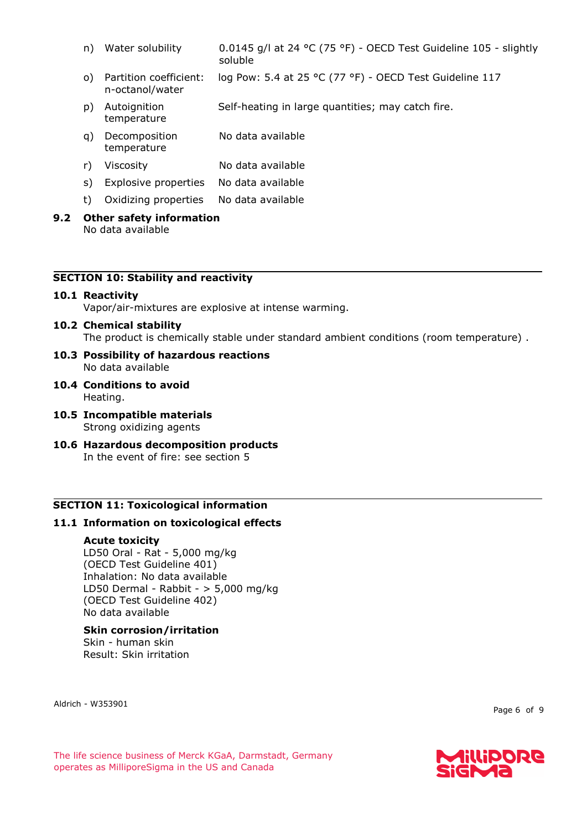- n) Water solubility 0.0145 g/l at 24 °C (75 °F) OECD Test Guideline 105 slightly soluble
- o) Partition coefficient: n-octanol/water log Pow: 5.4 at 25 °C (77 °F) - OECD Test Guideline 117
- p) Autoignition temperature Self-heating in large quantities; may catch fire.
- q) Decomposition temperature No data available
- r) Viscosity No data available
- s) Explosive properties No data available
- t) Oxidizing properties No data available
- **9.2 Other safety information** No data available

## **SECTION 10: Stability and reactivity**

#### **10.1 Reactivity**

Vapor/air-mixtures are explosive at intense warming.

#### **10.2 Chemical stability**

The product is chemically stable under standard ambient conditions (room temperature) .

- **10.3 Possibility of hazardous reactions** No data available
- **10.4 Conditions to avoid** Heating.
- **10.5 Incompatible materials** Strong oxidizing agents
- **10.6 Hazardous decomposition products** In the event of fire: see section 5

## **SECTION 11: Toxicological information**

## **11.1 Information on toxicological effects**

#### **Acute toxicity**

LD50 Oral - Rat - 5,000 mg/kg (OECD Test Guideline 401) Inhalation: No data available LD50 Dermal - Rabbit -  $> 5,000$  mg/kg (OECD Test Guideline 402) No data available

# **Skin corrosion/irritation**

Skin - human skin Result: Skin irritation

Aldrich - W353901

Page 6 of 9

The life science business of Merck KGaA, Darmstadt, Germany operates as MilliporeSigma in the US and Canada

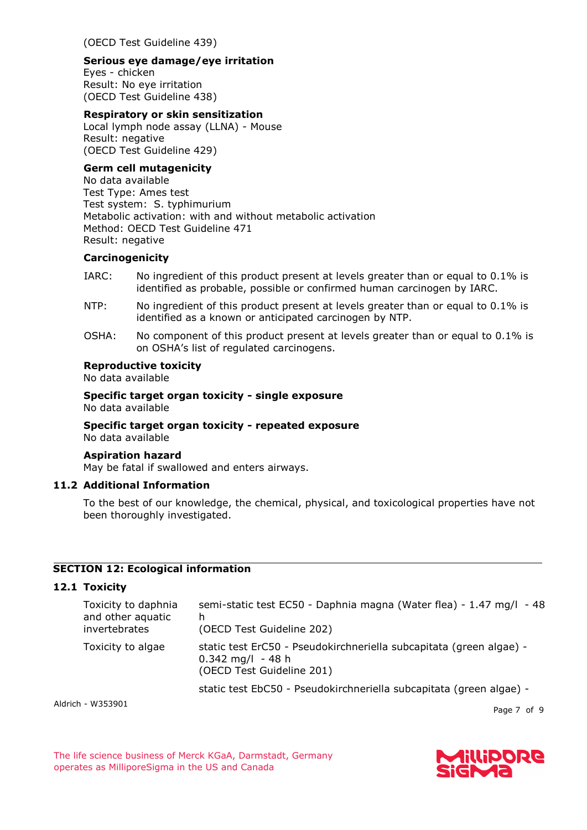(OECD Test Guideline 439)

### **Serious eye damage/eye irritation**

Eyes - chicken Result: No eye irritation (OECD Test Guideline 438)

## **Respiratory or skin sensitization**

Local lymph node assay (LLNA) - Mouse Result: negative (OECD Test Guideline 429)

# **Germ cell mutagenicity**

No data available Test Type: Ames test Test system: S. typhimurium Metabolic activation: with and without metabolic activation Method: OECD Test Guideline 471 Result: negative

## **Carcinogenicity**

- IARC: No ingredient of this product present at levels greater than or equal to 0.1% is identified as probable, possible or confirmed human carcinogen by IARC.
- NTP: No ingredient of this product present at levels greater than or equal to 0.1% is identified as a known or anticipated carcinogen by NTP.
- OSHA: No component of this product present at levels greater than or equal to 0.1% is on OSHA's list of regulated carcinogens.

## **Reproductive toxicity**

No data available

**Specific target organ toxicity - single exposure** No data available

#### **Specific target organ toxicity - repeated exposure** No data available

## **Aspiration hazard**

May be fatal if swallowed and enters airways.

## **11.2 Additional Information**

To the best of our knowledge, the chemical, physical, and toxicological properties have not been thoroughly investigated.

## **SECTION 12: Ecological information**

# **12.1 Toxicity**

| Toxicity to daphnia<br>and other aquatic<br>invertebrates | semi-static test EC50 - Daphnia magna (Water flea) - 1.47 mg/l - 48<br>h<br>(OECD Test Guideline 202)                   |
|-----------------------------------------------------------|-------------------------------------------------------------------------------------------------------------------------|
| Toxicity to algae                                         | static test ErC50 - Pseudokirchneriella subcapitata (green algae) -<br>$0.342$ mg/l - 48 h<br>(OECD Test Guideline 201) |
|                                                           | static test EbC50 - Pseudokirchneriella subcapitata (green algae) -                                                     |

Aldrich - W353901

Page 7 of 9

The life science business of Merck KGaA, Darmstadt, Germany operates as MilliporeSigma in the US and Canada

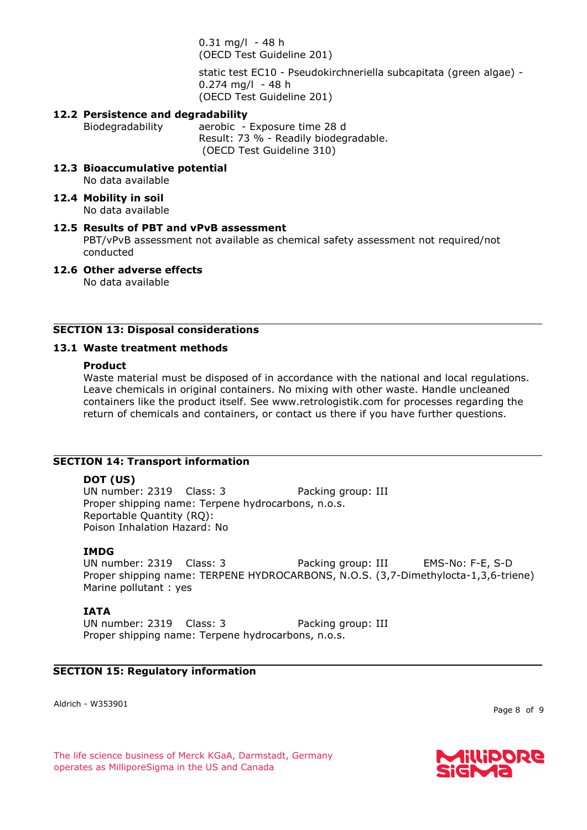$0.31$  mg/l - 48 h (OECD Test Guideline 201)

static test EC10 - Pseudokirchneriella subcapitata (green algae) -  $0.274$  mg/l - 48 h (OECD Test Guideline 201)

### **12.2 Persistence and degradability**

Biodegradability aerobic - Exposure time 28 d Result: 73 % - Readily biodegradable. (OECD Test Guideline 310)

- **12.3 Bioaccumulative potential** No data available
- **12.4 Mobility in soil** No data available

#### **12.5 Results of PBT and vPvB assessment**

PBT/vPvB assessment not available as chemical safety assessment not required/not conducted

**12.6 Other adverse effects** No data available

## **SECTION 13: Disposal considerations**

#### **13.1 Waste treatment methods**

#### **Product**

Waste material must be disposed of in accordance with the national and local regulations. Leave chemicals in original containers. No mixing with other waste. Handle uncleaned containers like the product itself. See www.retrologistik.com for processes regarding the return of chemicals and containers, or contact us there if you have further questions.

#### **SECTION 14: Transport information**

#### **DOT (US)**

UN number: 2319 Class: 3 Packing group: III Proper shipping name: Terpene hydrocarbons, n.o.s. Reportable Quantity (RQ): Poison Inhalation Hazard: No

#### **IMDG**

UN number: 2319 Class: 3 Packing group: III EMS-No: F-E, S-D Proper shipping name: TERPENE HYDROCARBONS, N.O.S. (3,7-Dimethylocta-1,3,6-triene) Marine pollutant : yes

#### **IATA**

UN number: 2319 Class: 3 Packing group: III Proper shipping name: Terpene hydrocarbons, n.o.s.

#### **SECTION 15: Regulatory information**

Aldrich - W353901

Page 8 of 9

The life science business of Merck KGaA, Darmstadt, Germany operates as MilliporeSigma in the US and Canada